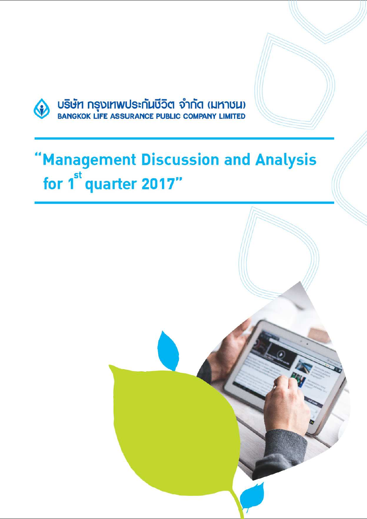

# 'Management Discussion and Analysis for 1<sup>st</sup> quarter 2017"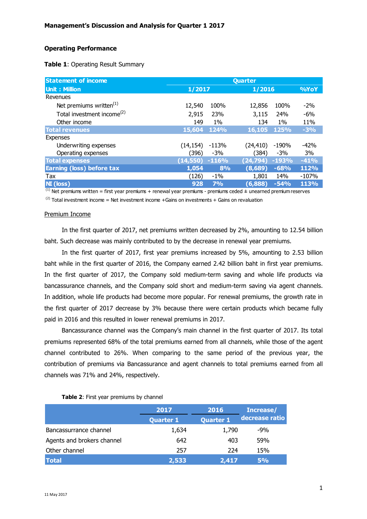# **Operating Performance**

| Table 1: Operating Result Summary |  |
|-----------------------------------|--|
|-----------------------------------|--|

| <b>Statement of income</b>             | Quarter   |             |           |         |         |
|----------------------------------------|-----------|-------------|-----------|---------|---------|
| <b>Unit: Million</b>                   | 1/2017    |             | 1/2016    | %YoY    |         |
| Revenues                               |           |             |           |         |         |
| Net premiums written <sup>(1)</sup>    | 12,540    | 100%        | 12,856    | 100%    | $-2\%$  |
| Total investment income <sup>(2)</sup> | 2,915     | 23%         | 3,115     | 24%     | $-6%$   |
| Other income                           | 149       | $1\%$       | 134       | $1\%$   | 11%     |
| <b>Total revenues</b>                  | 15,604    | <b>124%</b> | 16,105    | 125%    | $-3%$   |
| <b>Expenses</b>                        |           |             |           |         |         |
| Underwriting expenses                  | (14, 154) | $-113%$     | (24, 410) | -190%   | $-42%$  |
| Operating expenses                     | (396)     | $-3%$       | (384)     | $-3%$   | 3%      |
| <b>Total expenses</b>                  | (14,550)  | $-116%$     | (24, 794) | $-193%$ | $-41%$  |
| Earning (loss) before tax              | 1,054     | 8%          | (8,689)   | $-68%$  | 112%    |
| Tax                                    | (126)     | $-1\%$      | 1,801     | 14%     | $-107%$ |
| <b>NI</b> (loss)                       | 928       | 7%          | (6,888)   | $-54%$  | 113%    |

 $<sup>(1)</sup>$  Net premiums written = first year premiums + renewal year premiums - premiums ceded  $\pm$  unearned premium reserves</sup>  $(2)$  Total investment income = Net investment income +Gains on investments + Gains on revaluation

#### Premium Income

In the first quarter of 2017, net premiums written decreased by 2%, amounting to 12.54 billion baht. Such decrease was mainly contributed to by the decrease in renewal year premiums.

In the first quarter of 2017, first year premiums increased by 5%, amounting to 2.53 billion baht while in the first quarter of 2016, the Company earned 2.42 billion baht in first year premiums. In the first quarter of 2017, the Company sold medium-term saving and whole life products via bancassurance channels, and the Company sold short and medium-term saving via agent channels. In addition, whole life products had become more popular. For renewal premiums, the growth rate in the first quarter of 2017 decrease by 3% because there were certain products which became fully paid in 2016 and this resulted in lower renewal premiums in 2017.

 Bancassurance channel was the Company's main channel in the first quarter of 2017. Its total premiums represented 68% of the total premiums earned from all channels, while those of the agent channel contributed to 26%. When comparing to the same period of the previous year, the contribution of premiums via Bancassurance and agent channels to total premiums earned from all channels was 71% and 24%, respectively.

#### **Table 2**: First year premiums by channel

|                            | 2017             | 2016             | Increase/      |
|----------------------------|------------------|------------------|----------------|
|                            | <b>Quarter 1</b> | <b>Quarter 1</b> | decrease ratio |
| Bancassurrance channel     | 1,634            | 1,790            | -9%            |
| Agents and brokers channel | 642              | 403              | 59%            |
| Other channel              | 257              | 224              | 15%            |
| <b>Total</b>               | 2,533            | 2,417            | 5%             |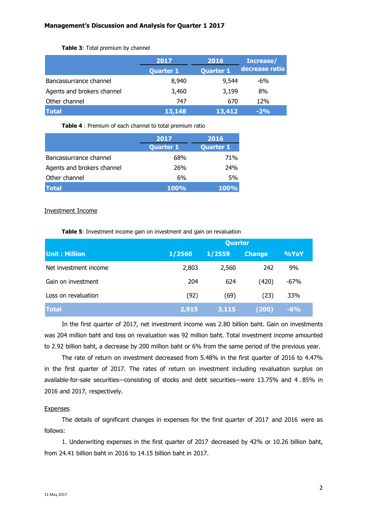|                            | 2017             | 2016             | Increase/      |
|----------------------------|------------------|------------------|----------------|
|                            | <b>Quarter 1</b> | <b>Quarter 1</b> | decrease ratio |
| Bancassurrance channel     | 8,940            | 9,544            | -6%            |
| Agents and brokers channel | 3,460            | 3,199            | 8%             |
| Other channel              | 747              | 670              | 12%            |
| <b>Total</b>               | 13,148           | 13,412           | $-2%$          |

## **Table 3**: Total premium by channel

**Table 4** : Premium of each channel to total premium ratio

|                            | 2017             | 2016             |
|----------------------------|------------------|------------------|
|                            | <b>Quarter 1</b> | <b>Quarter 1</b> |
| Bancassurrance channel     | 68%              | 71%              |
| Agents and brokers channel | 26%              | <b>24%</b>       |
| Other channel              | 6%               | 5%               |
| <b>Total</b>               | <b>100%</b>      | $100\%$          |

# Investment Income

**Table 5**: Investment income gain on investment and gain on revaluation

|                       | <b>Quarter</b> |        |               |        |  |
|-----------------------|----------------|--------|---------------|--------|--|
| <b>Unit: Million</b>  | 1/2560         | 1/2559 | <b>Change</b> | %YoY   |  |
| Net investment income | 2,803          | 2,560  | 242           | 9%     |  |
| Gain on investment    | 204            | 624    | (420)         | $-67%$ |  |
| Loss on revaluation   | (92)           | (69)   | (23)          | 33%    |  |
| <b>Total</b>          | 2,915          | 3,115  | (200)         | $-6%$  |  |

In the first quarter of 2017, net investment income was 2.80 billion baht. Gain on investments was 204 million baht and loss on revaluation was 92 million baht. Total investment income amounted to 2.92 billion baht, a decrease by 200 million baht or 6% from the same period of the previous year.

The rate of return on investment decreased from 5.48% in the first quarter of 2016 to 4.47% in the first quarter of 2017. The rates of return on investment including revaluation surplus on available-for-sale securities—consisting of stocks and debt securities—were 13.75% and 4 . 85% in 2016 and 2017, respectively.

# Expenses

The details of significant changes in expenses for the first quarter of 2017 and 2016 were as follows:

1. Underwriting expenses in the first quarter of 2017 decreased by 42% or 10.26 billion baht, from 24.41 billion baht in 2016 to 14.15 billion baht in 2017.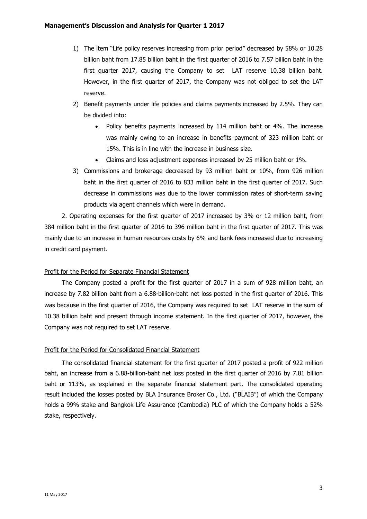- 1) The item "Life policy reserves increasing from prior period" decreased by 58% or 10.28 billion baht from 17.85 billion baht in the first quarter of 2016 to 7.57 billion baht in the first quarter 2017, causing the Company to set LAT reserve 10.38 billion baht. However, in the first quarter of 2017, the Company was not obliged to set the LAT reserve.
- 2) Benefit payments under life policies and claims payments increased by 2.5%. They can be divided into:
	- Policy benefits payments increased by 114 million baht or 4%. The increase was mainly owing to an increase in benefits payment of 323 million baht or 15%. This is in line with the increase in business size.
	- Claims and loss adjustment expenses increased by 25 million baht or 1%.
- 3) Commissions and brokerage decreased by 93 million baht or 10%, from 926 million baht in the first quarter of 2016 to 833 million baht in the first quarter of 2017. Such decrease in commissions was due to the lower commission rates of short-term saving products via agent channels which were in demand.

2. Operating expenses for the first quarter of 2017 increased by 3% or 12 million baht, from 384 million baht in the first quarter of 2016 to 396 million baht in the first quarter of 2017. This was mainly due to an increase in human resources costs by 6% and bank fees increased due to increasing in credit card payment.

### Profit for the Period for Separate Financial Statement

The Company posted a profit for the first quarter of 2017 in a sum of 928 million baht, an increase by 7.82 billion baht from a 6.88-billion-baht net loss posted in the first quarter of 2016. This was because in the first quarter of 2016, the Company was required to set LAT reserve in the sum of 10.38 billion baht and present through income statement. In the first quarter of 2017, however, the Company was not required to set LAT reserve.

### Profit for the Period for Consolidated Financial Statement

The consolidated financial statement for the first quarter of 2017 posted a profit of 922 million baht, an increase from a 6.88-billion-baht net loss posted in the first quarter of 2016 by 7.81 billion baht or 113%, as explained in the separate financial statement part. The consolidated operating result included the losses posted by BLA Insurance Broker Co., Ltd. ("BLAIB") of which the Company holds a 99% stake and Bangkok Life Assurance (Cambodia) PLC of which the Company holds a 52% stake, respectively.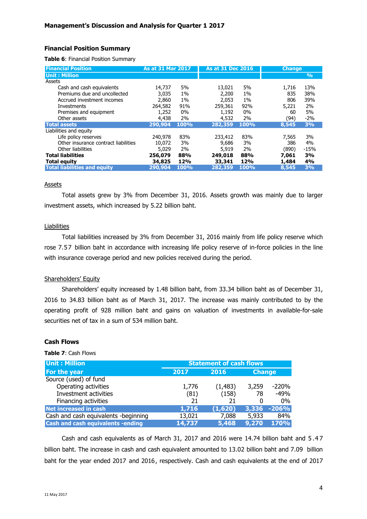## **Financial Position Summary**

**Table 6**: Financial Position Summary

| <b>Financial Position</b>            | As at 31 Mar 2017 |       | <b>As at 31 Dec 2016</b> |       | <b>Change</b> |               |
|--------------------------------------|-------------------|-------|--------------------------|-------|---------------|---------------|
| <b>Unit: Million</b>                 |                   |       |                          |       |               | $\frac{9}{6}$ |
| Assets                               |                   |       |                          |       |               |               |
| Cash and cash equivalents            | 14,737            | 5%    | 13,021                   | 5%    | 1,716         | 13%           |
| Premiums due and uncollected         | 3,035             | $1\%$ | 2,200                    | $1\%$ | 835           | 38%           |
| Accrued investment incomes           | 2,860             | $1\%$ | 2.053                    | $1\%$ | 806           | 39%           |
| Investments                          | 264,582           | 91%   | 259,361                  | 92%   | 5,221         | 2%            |
| Premises and equipment               | 1,252             | 0%    | 1,192                    | $0\%$ | 60            | 5%            |
| Other assets                         | 4,438             | 2%    | 4,532                    | 2%    | (94)          | $-2%$         |
| Total assets                         | 290,904           | 100%  | 282,359                  | 100%  | 8,545         | 3%            |
| Liabilities and equity               |                   |       |                          |       |               |               |
| Life policy reserves                 | 240,978           | 83%   | 233,412                  | 83%   | 7,565         | 3%            |
| Other insurance contract liabilities | 10.072            | 3%    | 9.686                    | 3%    | 386           | 4%            |
| Other liabilities                    | 5,029             | 2%    | 5,919                    | 2%    | (890)         | $-15%$        |
| <b>Total liabilities</b>             | 256,079           | 88%   | 249,018                  | 88%   | 7,061         | 3%            |
| <b>Total equity</b>                  | 34,825            | 12%   | 33,341                   | 12%   | 1,484         | 4%            |
| <b>Total liabilities and equity</b>  | 290,904           | 100%  | 282,359                  | 100%  | 8,545         | 3%            |

#### **Assets**

Total assets grew by 3% from December 31, 2016. Assets growth was mainly due to larger investment assets, which increased by 5.22 billion baht.

# Liabilities

Total liabilities increased by 3% from December 31, 2016 mainly from life policy reserve which rose 7.57 billion baht in accordance with increasing life policy reserve of in-force policies in the line with insurance coverage period and new policies received during the period.

### Shareholders' Equity

Shareholders' equity increased by 1.48 billion baht, from 33.34 billion baht as of December 31, 2016 to 34.83 billion baht as of March 31, 2017. The increase was mainly contributed to by the operating profit of 928 million baht and gains on valuation of investments in available-for-sale securities net of tax in a sum of 534 million baht.

## **Cash Flows**

#### **Table 7**: Cash Flows

| <b>Unit: Million</b>                     | <b>Statement of cash flows</b> |          |               |         |  |
|------------------------------------------|--------------------------------|----------|---------------|---------|--|
| For the year                             | 2017                           | 2016     | <b>Change</b> |         |  |
| Source (used) of fund                    |                                |          |               |         |  |
| Operating activities                     | 1,776                          | (1, 483) | 3,259         | -220%   |  |
| Investment activities                    | (81)                           | (158)    | 78            | $-49%$  |  |
| Financing activities                     | 21                             | 21       | 0             | $0\%$   |  |
| <b>Net increased in cash</b>             | 1,716                          | (1,620)  | 3,336         | $-206%$ |  |
| Cash and cash equivalents -beginning     | 13,021                         | 7,088    | 5,933         | 84%     |  |
| <b>Cash and cash equivalents -ending</b> | 14,737                         | 5,468    | 9,270         | 170%    |  |

Cash and cash equivalents as of March 31, 2017 and 2016 were 14.74 billion baht and 5 .4 7 billion baht. The increase in cash and cash equivalent amounted to 13.02 billion baht and 7.09 billion baht for the year ended 2017 and 2016, respectively. Cash and cash equivalents at the end of 2017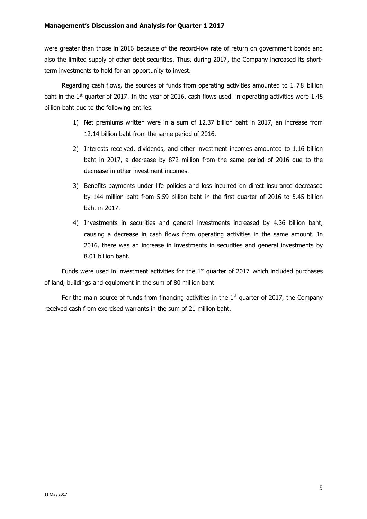were greater than those in 2016 because of the record-low rate of return on government bonds and also the limited supply of other debt securities. Thus, during 2017, the Company increased its shortterm investments to hold for an opportunity to invest.

Regarding cash flows, the sources of funds from operating activities amounted to 1.78 billion baht in the  $1<sup>st</sup>$  quarter of 2017. In the year of 2016, cash flows used in operating activities were 1.48 billion baht due to the following entries:

- 1) Net premiums written were in a sum of 12.37 billion baht in 2017, an increase from 12.14 billion baht from the same period of 2016.
- 2) Interests received, dividends, and other investment incomes amounted to 1.16 billion baht in 2017, a decrease by 872 million from the same period of 2016 due to the decrease in other investment incomes.
- 3) Benefits payments under life policies and loss incurred on direct insurance decreased by 144 million baht from 5.59 billion baht in the first quarter of 2016 to 5.45 billion baht in 2017.
- 4) Investments in securities and general investments increased by 4.36 billion baht, causing a decrease in cash flows from operating activities in the same amount. In 2016, there was an increase in investments in securities and general investments by 8.01 billion baht.

Funds were used in investment activities for the  $1<sup>st</sup>$  quarter of 2017 which included purchases of land, buildings and equipment in the sum of 80 million baht.

For the main source of funds from financing activities in the  $1<sup>st</sup>$  quarter of 2017, the Company received cash from exercised warrants in the sum of 21 million baht.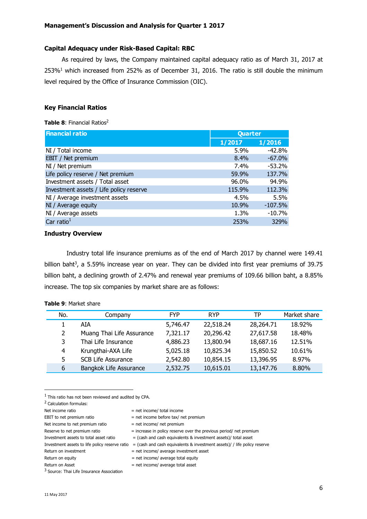## **Capital Adequacy under Risk-Based Capital: RBC**

As required by laws, the Company maintained capital adequacy ratio as of March 31, 2017 at  $253\%$ <sup>1</sup> which increased from 252% as of December 31, 2016. The ratio is still double the minimum level required by the Office of Insurance Commission (OIC).

# **Key Financial Ratios**

#### **Table 8: Financial Ratios<sup>2</sup>**

| <b>Financial ratio</b>                  | Quarter |           |
|-----------------------------------------|---------|-----------|
|                                         | 1/2017  | 1/2016    |
| NI / Total income                       | 5.9%    | $-42.8%$  |
| EBIT / Net premium                      | 8.4%    | $-67.0%$  |
| NI / Net premium                        | 7.4%    | $-53.2%$  |
| Life policy reserve / Net premium       | 59.9%   | 137.7%    |
| Investment assets / Total asset         | 96.0%   | 94.9%     |
| Investment assets / Life policy reserve | 115.9%  | 112.3%    |
| NI / Average investment assets          | 4.5%    | 5.5%      |
| NI / Average equity                     | 10.9%   | $-107.5%$ |
| NI / Average assets                     | 1.3%    | $-10.7%$  |
| Car ratio $1$                           | 253%    | 329%      |

## **Industry Overview**

Industry total life insurance premiums as of the end of March 2017 by channel were 149.41 billion baht<sup>3</sup>, a 5.59% increase year on year. They can be divided into first year premiums of 39.75 billion baht, a declining growth of 2.47% and renewal year premiums of 109.66 billion baht, a 8.85% increase. The top six companies by market share are as follows:

| No. | Company                   | <b>FYP</b> | <b>RYP</b> | TP        | Market share |
|-----|---------------------------|------------|------------|-----------|--------------|
|     | AIA                       | 5,746.47   | 22,518.24  | 28,264.71 | 18.92%       |
| 2   | Muang Thai Life Assurance | 7,321.17   | 20,296.42  | 27,617.58 | 18.48%       |
| 3   | Thai Life Insurance       | 4,886.23   | 13,800.94  | 18,687.16 | 12.51%       |
| 4   | Krungthai-AXA Life        | 5,025.18   | 10,825.34  | 15,850.52 | 10.61%       |
| 5   | <b>SCB Life Assurance</b> | 2,542.80   | 10,854.15  | 13,396.95 | 8.97%        |
| 6   | Bangkok Life Assurance    | 2,532.75   | 10,615.01  | 13,147.76 | 8.80%        |

## **Table 9**: Market share

 $<sup>1</sup>$  This ratio has not been reviewed and audited by CPA.</sup>

<sup>2</sup> Calculation formulas:

 $\overline{a}$ 

<sup>3</sup> Source: Thai Life Insurance Association

Net income ratio  $=$  net income/ total income EBIT to net premium ratio  $=$  net income before tax/ net premium Net income to net premium ratio  $=$  net income/ net premium Reserve to net premium ratio  $=$  increase in policy reserve over the previous period/ net premium Investment assets to total asset ratio  $=$  (cash and cash equivalents & investment assets)/ total asset Investment assets to life policy reserve ratio = (cash and cash equivalents & investment assets)/ / life policy reserve Return on investment  $=$  net income/ average investment asset Return on equity  $=$  net income/ average total equity

 $Return on Asset = net income/ average total asset$